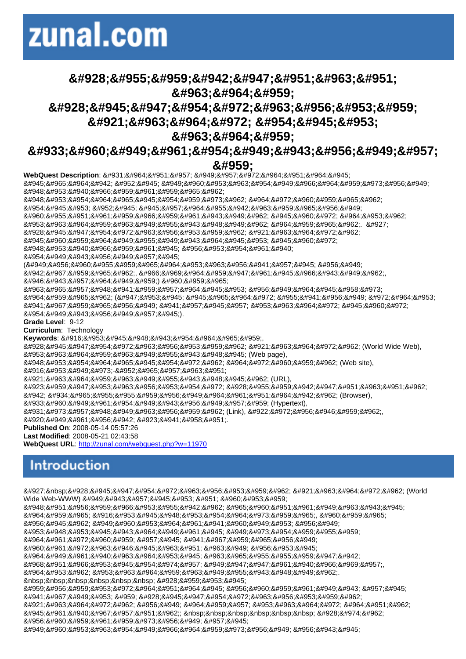## Πλοήγηση &#963:&#964:&#959: Παγκόσμιο Ιστό και &#963:&#964:&#959:

Υπερκείμεν

8#945;8#965;8#964;8#942;8#932;8#945;8#949;8#960;8#953;8#963;8#954;8#949;8#966;8#964;8#959;8#973;8#956;8#949;8

WebQuest Description: Στην ενότητα

8#948;8#953;8#954;8#964;8#965;8#945;8#954;8#959;8#973;8#962; 8#964;8#972;8#960;8#959;8#965;8#962;

8#948;8#953;8#940;8#966;8#959;8#961;8#959;8#965;8#962;

#### &#959:

8#954;8#945;8#953;8#952;8#945;8#945;8#957;8#964;8#955;8#942;8#963;8#959;8#965;8#956;8#949;  $8#960;8#955;8#951;8#961;8#959;8#966;8#959;8#961;8#943;8#949;8#962;8#945;8#960;8#972;8#964;8#963;8#962;$ 84953;8#963;8#964;8#959;8#963;8#949;8#955;8#943;8#948;8#949;8#962;8#964;8#959;8#965;8#962;.8#927; 8#928;8#945;8#947;8#954;8#972;8#963;8#956;8#953;8#959;8#962; 8#921;8#963;8#964;8#972;8#962; 8#945;8#960;8#959;8#964;8#949;8#955;8#949;8#943;8#964;8#945;8#953; 8#945;8#960;8#972; 8#948;8#953;8#940;8#966;8#959;8#961;8#945;8#956;8#953;8#954;8#961;8#940; κείμενα (εμπλουτισμένα με 8#942;8#967;8#959;8#965;8#962;,8#966;8#969;8#964;8#959;8#947;8#961;8#945;8#966;8#943;8#949;8#962;,8#962;, 8#946; ί ν τ ε ο ) π ο υ συνδέονται μεταξύ 8#964;8#959;8#965;8#962; (8#947;8#953;8#945; 8#945;8#965;8#964;8#972; 8#955;8#941;8#956;8#949; 8#972;8#964;8#953; έχουμε έναν ιστό από κείμενα). Grade Level: 9-12 Curriculum: Technology Keywords: Διαδίκτυο,  $8#928;8#945;8#947;8#954;8#972;8#963;8#956;8#953;8#959;8#962;8#921;8#963;8#964;8#972;8#962; (World Wide Web),$ ιστοσελίδα (Web page),  $8#948;8#953;8#954;8#964;8#965;8#945;8#954;8#972;8#962;8#964;8#972;8#960;8#959;8#962;$  (Web site), 8#916;8#953;8#949;8#973;-8#952;8#965;8#957;8#963;8#951; Ιστοσελίδας(URL), 8#923;8#959;8#947;8#953;8#963;8#956;8#953;8#954;8#972; 8#928;8#955;8#959;8#942;8#947;8#951;8#963;8#951;8#962;  $&4942;&4934;&4965;&4955;&4955;&4955;&4956;&4956;&4949;&4964;&4961;&4951;&4964;&4964;&4942;&4962;$  (Browser), Υπερκείμενο (Hypertext),  $8#931; 8#973; 8#957; 8#948; 8#949; 8#963; 8#956; 8#959; 8#962;$  (Link),  $8#922; 8#972; 8#956; 8#946; 8#959; 8#962;$ 8#920; ε ρ μ ή Λ έ ξ η Published On: 2008-05-14 05:57:26 Last Modified: 2008-05-21 02:43:58 WebQuest URL: http://zunal.com/webquest.php?w=11970 Ο Παγκόσμιος Ιστός (World Wide Web-WWW) είναι η πιο 8#948;8#951;8#956;8#959;8#966;8#953;8#955;8#942;8#962;8#965;8#960;8#951;8#961;8#949;8#963;8#943;8#945; 8#964;8#959;8#965; 8#916;8#953;8#945;8#948;8#953;8#954;8#964;8#973;8#959;8#965;, 8#960;8#959;8#965; μας επιτρέπει με 8#953;8#948;8#953;8#945;8#943;8#964;8#949;8#961;8#945; 8#949;8#973;8#954;8#959;8#955;8#959; 8#964:8#961:8#972:8#960:8#959:8#957:8#945:8#941:8#967:8#959:8#956:8#949: 8#960;8#961;8#972;8#963;8#946;8#945;8#963;8#951; 8#963;8#949; 8#956;8#953;8#945; 8#964;8#949;8#961;8#940;8#963;8#964;8#953;8#945;8#963;8#965;8#955;8#955;8#959;8#947;8#942; 8#968;ηφιακών εγγράφων, 8#964;8#953;8#962; 8#953;8#963;8#964;8#959;8#963;8#949;8#955;8#943;8#948;8#949;8#962; Ποια 8#959;8#956;8#959;8#953;8#972;8#964;8#951;8#964;8#945; 8#956;8#960;8#959;8#961;8#949;8#943; 8#957;8#945; 8#941;8#967;8#949;8#953;8#959;8#928;8#945;8#947;8#954;8#972;8#963;8#956;8#953;8#959;8#962; 8#921;8#963;8#964;8#972;8#962; 8#956;8#949; 8#964;8#959;8#957; 8#953;8#963;8#964;8#972; 8#964;8#951;8#962; αράχνης; Πώς μπορούμε να 8#949;8#960;8#953;8#963;8#954;8#949;8#966;8#964;8#959;8#973;8#956;8#949; 8#956;8#943;8#945;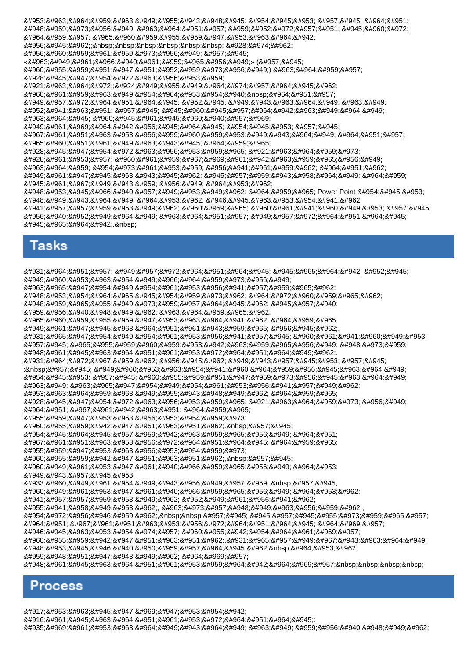84953;8#963;8#964;8#959;8#963;8#949;8#955;8#943;8#948;8#945;8#954;8#945;8#953;8#957;8#945;8#964;8#951; 8#948;8#959;8#973;8#956;8#949; 8#963;8#964;8#951;8#957; 8#959;8#952;8#972;8#957;8#951; 8#945;8#960;8#972; 8#964:8#959:8#957:8#965:8#960:8#959:8#955:8#959:8#947:8#953:8#963:8#964:8#942: μας; Πώς 8#956;πορούμε να «σερφάρουμε» (να πλοηγηθούμε) στον 8#928;8#945;8#947;8#954;8#972;8#963;8#956;8#953;8#959;  $8#921;8#963;8#964;8#972;$ ; $8#924;8#949;8#955;8#949;8#964;8#974;8#957;8#964;8#945;8#962;$ προσεκτικά την 8#949;8#957;8#972;8#964;8#951;8#964;8#945;8#952;8#945;8#999;8#943;8#963;8#964;8#949; 8#963;8#949; 8#952;8#941;8#963;8#951;8#957;8#945;8#945;8#960;8#945;8#957;8#964;8#942;8#963;8#949;8#964;8#949; 8#963:8#964:8#945: 8#960:8#945:8#961:8#945:8#960:8#940:8#957:8#969: 8#949;8#961;8#969;8#964;8#942;8#956;8#945;8#964;8#945; 8#954;8#953; 8#957;8#945; 8#967;8#961;8#951;8#963;8#953;8#956;8#959;8#960;8#959;8#953;8#949;8#943;8#964;8#949; 8#964:8#951:8#957: 8#965;8#960;8#951;8#961;8#949;8#963;8#943;8#945; 8#964;8#959;8#965; 8#928;8#945;8#947;8#954;8#972;8#963;8#956;8#953;8#959;8#965; 8#921;8#963;8#964;8#959;8#973; 8#928;8#961;8#953;8#957;8#960;8#961;8#959;8#967;8#969;8#961;8#942;8#963;8#959;8#965;8#956;8#949;8#949; 8#963;8#964;8#959; 8#954;8#973;8#961;8#953;8#959; 8#956;8#941;8#961;8#959;8#962; 8#964;8#951;8#962; 8#949;8#961;8#947;8#945;8#963;8#943;8#945;8#962;8#945;8#957;8#959;8#943;8#958;8#964;8#949;8#964;8#959; 8#945;8#961;8#967;8#949;8#943;8#959; 8#956;8#949; 8#964;8#953;8#962;  $&4948;&4953;&4945;&4966;&4940;&4957;&4949;&4953;&4949;&4962;&4964;&4959;&4965;$  Power Point  $&4954;&4945;&4953;$ 8#948;8#949;8#943;8#964;8#949;8#964;8#953;8#962;8#946;8#945;8#963;8#953;8#954;8#941;8#962; 8#941;ννοιες που πρέπει να 8#956;8#940;8#952;8#949;8#964;8#949;8#963;8#964;8#951;8#957;8#949;8#957;8#972;8#964;8#951;8#964;8#945; αυτή.

## Tasks

8#931;8#964;8#951;8#957;8#949;8#957;8#972;8#964;8#951;8#904;8#945;8#945;8#965;8#964;8#942;8#952;8#945; 8#949;8#960;8#953;8#963;8#954;8#949;8#966;8#964;8#959;8#973;8#956;8#949; 8#963:8#965:8#947:8#954:8#949:8#954:8#961:8#953:8#956:8#941:8#957:8#959:8#965:8#962: 8#948;8#953;8#954;8#964;8#965;8#945;8#954;8#959;8#973;8#962;8#964;8#972;8#960;8#959;8#965;8#962;  $8#948;8#959;8#965;8#955;8#949;8#973;8#959;8#957;8#964;8#945;8#962;8#945;8#957;8#940;$ 8#959;8#956;8#940;8#948;8#949;8#962;8#963;8#964;8#959;8#965;8#962; 8#965;8#960;8#959;8#955;8#959;8#947;8#953;8#963;8#964;8#941;8#962; 8#964;8#959;8#965; 8#949;8#961;8#947;8#945;8#963;8#964;8#951;8#961;8#943;8#959;8#965; 8#956;8#945;8#962;  $8#931;8#965;8#947;8#954;8#949;8#954;8#961;8#953;8#956;8#941;8#957;8#945;8#960;8#961;8#941;8#960;8#949;8#953;$ 8#957;8#945;8#965;8#955;8#959;8#960;8#959;8#953;8#942;8#963;8#959;8#956;8#956;8#949;8#948;8#973;8#959; 8#948;8#961;8#945;8#963;8#964;8#951;8#961;8#953;8#972;8#964;8#951;8#964;8#949;8#962;. Στόχος μας είναι να : 8hbsp; 8#957; 8#945; 8#949; 8#960; 8#953; 8#963; 8#954; 8#941; 8#960; 8#964; 8#959; 8#963; 8#963; 8#964; 8#949; και να πλοηγούμαστε 8#963;8#949; 8#963;8#965;8#947;8#954;8#949;8#954;8#961;8#953;8#956;8#941;8#957;8#949;8#962; 8#953;8#963;8#964;8#959;8#963;8#949;8#955;8#943;8#948;8#949;8#962;8#964;8#959;8#965; 8#928;8#945;8#947;8#954;8#972;8#963;8#956;8#953;8#959;8#965; 8#921;8#963;8#964;8#959;8#973; 8#956;8#949; 8#964; η χ ρ ή σ η τ ο υ 8#955;8#959;8#947;8#953;8#963;8#956;8#953;8#954;8#959;8#973; πλοήγησης. να κατανοήσουμε τη 8#967;8#961;8#951;8#963;8#953;8#956;8#972;8#964;8#951;8#964;8#945;8#959;8#965;8#965; 8#955:8#959:8#947:8#953:8#963:8#956:8#953:8#954:8#959:8#973:  $8#960; 8#955; 8#959; 8#942; 8#947; 8#951; 8#963; 8#951; 8#962; 8nbsp; 8#957; 8#945;$ 8#960;8#949;8#961;8#953;8#947;8#961;8#940;8#966;8#959;8#965;8#956;8#949;8#964;8#953; είναι Υπερκείμενο, να 8#960;8#949;8#961;8#953;8#947;8#961;8#940;8#966;8#959;8#965;8#956;8#949;8#964;8#953;8#962; 8#941;8#957;8#957;8#959;8#953;8#949;8#962; 8#952;8#949;8#961;8#956;8#941;8#962; 8#955;8#941;8#958;8#949;8#953;8#962;,8#963;8#973;8#957;8#948;8#949;8#963;8#956;8#959;8#962;,8#962;, κόμβος, να αναλύουν 8#964;8#951; 8#967;8#961;8#951;8#963;8#953;8#956;8#972;8#964;8#951;8#964;8#945; 8#964;8#969;8#957; 8#946;8#945;8#963;8#953;8#954;8#974;8#957;8#960;8#955;8#942;8#954;8#964;8#961;8#969;8#957; 8#960;8#955;8#959;8#942;8#947;8#951;8#963;8#951;8#962;.8#931;8#965;8#957;8#949;8#967;8#943;8#963;8#964;8#949;  $8#948;8#953;8#945;8#946;8#940;8#950;8#959;8#957;8#964;8#945;8#962;8nbsp;8#964;8#953;8#962;$ 8#959;8#948;8#951;8#947;8#943;8#949;8#962; 8#964;8#969;8#957; δραστηριοτήτων

#### Process

8#917;8#953;8#963;8#945;8#947;8#969;8#947;8#953;8#954;8#942;

8#916:8#961:8#945:8#963:8#964:8#951:8#961:8#953:8#972:8#964:8#951:8#964:8#945:

 $84935;84969;84961;84953;84963;84964;84949;84943;84964;84949;84963;84963;84949;84959;84956;84966;84940;84949;84962;84962;849662;849662;849662;849662;849662;849662;849662;849662;849662;849662;849662;849662;849662;849662;849$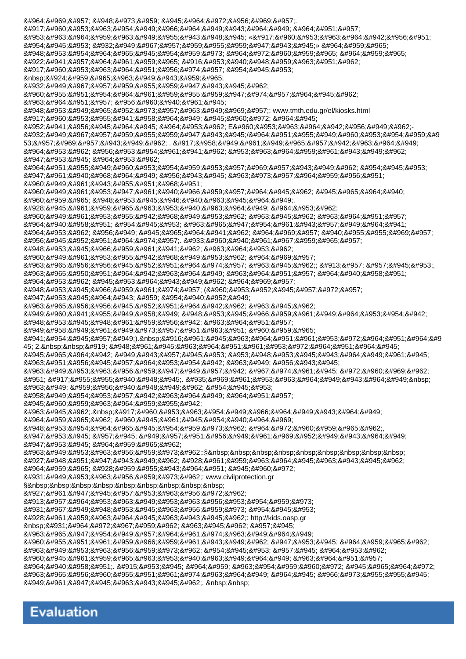8#964;8#969;8#957; 8#948;8#973;8#959; 8#945;8#964;8#972;8#956;8#969;8#957; 8#917;8#960;8#953;8#963;8#954;8#949;8#966;8#964;8#949;8#943;8#964;8#949;8#964;8#951;8#957; 8#953;8#963;8#964;8#959;8#963;8#949;8#955;8#943;8#948;8#945; «8#917;8#960;8#953;8#963;8#964;8#942;8#956;8#951; και Τεχνολογία» του 8#948;8#953;8#954;8#964;8#965;8#945;8#954;8#959;8#973;8#964;8#972;8#960;8#959;8#965;8#964;8#959;8#965; Κέντρου Διάδοσης Επιστημών και Μουσείου 8#932;8#949;8#967;8#957;8#959;8#955;8#959;8#947;8#943;8#945;8#962; 8#960;8#955;8#951;8#954;8#964;8#961;8#959;8#955;8#959;8#947;8#974;8#957;8#964;8#945;8#962; 8#963;8#964;8#951;8#957;8#956;8#960;8#940;8#961;8#945;  $&4948;&4953;&4949;&4965;&4952;&4973;&4957;&4963;&4949;&4969;&4957;$  www.tmth.edu.gr/el/kiosks.html Επιλέξτε από τα  $84952;84941;84956;84945;84964;84945;84964;84965;84962;E84960;84953;84963;84963;84964;84942;84956;84949;84962;E84962;$ 8#932;8#949;8#967;8#957;8#959;8#955;8#959;8#947;8#943;8#945;/8#964;8#951;8#955;8#949;8#960;8#953;8#954;8#959;8#9 53;νωνίες . Εξερελνήστε 8#964;8#953;8#962; 8#956;8#953;8#954;8#961;8#941;8#962; 8#953;8#963;8#964;8#959;8#961;8#943;8#949;8#962; 8#947;8#953;8#945; 8#964;8#953;8#962; 8#964;8#951;8#955;8#949;8#960;8#953;8#954;8#959;8#953;8#957;8#969;8#967;8#943;8#949;8#962;8#954;8#945;8#953; 8#947;8#961;8#940;8#968;8#964;8#949; 8#956;8#943;8#945; 8#963;8#973;8#957;8#964;8#959;8#956;8#951; 8#960; ε ρ ί λ η ψ η 8#960;8#949;8#961;8#953;8#947;8#961;8#940;8#966;8#959;8#957;8#964;8#945;8#962; 8#945;8#965;8#964:8#940: 8#960;8#959;8#965;8#948;8#953;8#945;8#946;8#940;8#963;8#945;8#964;8#949; 8#928;8#945;8#961;8#959;8#965;8#963;8#953;8#940;8#963;8#964;8#949; 8#964;8#953;8#962; 8#960;8#949;8#961;8#953;8#955;8#942;8#968;8#949;8#953;8#962; 8#963;8#945;8#962; 8#963;8#964;8#951;8#957; 8#964;8#940;8#958;8#951;8#954;8#945;8#953;8#963;8#965;8#947;8#954;8#961;8#943;8#957;8#949;8#964;8#941; 8#964;ις με αυτές των άλλων μαθητών. Υπάρχουν 8#948;8#953;8#945;8#966;8#959;8#961;8#941;8#962;8#963;8#964;8#953;8#962; 8#960;8#949;8#961;8#953;8#955;8#942;8#968;8#949;8#953;8#962;8#964;8#969;8#957; 8#963;8#965;8#956;8#956;8#945;8#952;8#951;8#964;8#974;8#957; 8#963;8#945;8#962;; 8#913;8#957; 8#957;8#945;8#953; συζητήστε στην τάξη 8#964;8#953;8#962; 8#945;8#953;8#964;8#943;8#949;8#962; 8#964;8#969;8#957; 8#948;8#953;8#945;8#966;8#959;8#961;8#974;8#957; (8#960;8#953;8#952;8#945;8#957;8#972;8#957; 8#947; & #953; & #945; & #964; & #943; & #959; & #954; & #940; & #952; & #949; συμμαθητής σας 8#949;8#960;8#941;8#955;8#949;8#958;8#949;8#948;8#965;8#945;8#966;8#959;8#961;8#949;8#964;8#953;8#954;8#942;  $&4948;&4953;&4945;&4948;&4961;&4959;&4956;&4942;&4963;&4964;&4951;&4957;&4954;&49544;&49544;&49544;&49544;&49544;&49544;&49544;&49544;&49544;&49544;&49544;&49544;&49544;&49544;&49544;&49544;&49544;&49544;&49544;&49544;&49$ 8#949;8#958;8#949;8#961;8#949;8#973;8#957;8#951;8#963;8#951; 8#960;8#959;8#965;  $8#941;8#954;8#945;8#957;8#949;$   $0.8$ nbsp; $8#916;8#961;8#945;8#963;8#964;8#951;8#961;8#953;8#964;8#964;8#951;84964;84953$ 45; 2. Η δραστηριότητα  $8#945;8#965;8#964;8#942;8#949;8#943;8#957;8#945;8#953;8#948;8#948;8#945;8#945;8#943;8#949;8#961;8#945;$ 8#963;8#951;8#956;8#945;8#957;8#964;8#953;8#954;8#942; 8#963;8#949; 8#956;8#943;8#945;  $8#963;8#949;8#963;8#963;8#956;8#959;8#947;8#949;8#957;8#942;8#967;8#961;8#961;8#945;8#972;8#960;8#969;8#962;$  $8#951; 8#917; 8#955; 8#955; 8#940; 8#948; 8#945; 8#935; 8#969; 8#961; 8#953; 8#963; 8#964; 8#949; 8#943; 8#964; 8#949; 8nbsp;$ 8#963;8#949; 8#959;8#956;8#940;8#948;8#949;8#962; 8#954;8#945;8#953; ξεκινήστε την αποστολή σας. Επισκεφτείτε 8#964;8#959;8#965;8#962;8#960;8#945;8#961;8#945;8#954;8#940;8#964;8#969; 8#948;8#953;8#954;8#964;8#965;8#945;8#954;8#959;8#973;8#962;8#964;8#972;8#960;8#959;8#965;8#962; 8#947;8#953;8#945; 8#957;8#945; 8#949;8#957;8#951;8#956;8#949;8#961;8#969;8#952;8#949;8#943;8#964;8#949; 8#947;8#953;8#945; 8#964;8#959;8#965;8#962; σεισμούς:§ 8#927;8#948;8#951;8#947;8#943;8#949;8#962;8#928;8#961;8#959;8#963;8#964;8#945;8#963;8#943;8#945;8#962; του Πολίτη από Σεισμούς: www.civilprotection.gr § 8#927;8#961;8#947;8#945;8#957;8#953;8#963;8#956;8#972;8#962; 8#913;8#957;8#964;8#953;8#963;8#949;8#953;8#963;8#956;8#953;8#954;8#959;8#973;  $84931;84967;84949;84948;84953;84945;84963;84956;84959;84973;84954;84945;84953;$ Προστασίας: http://kids.oasp.gr Στόχος σας να 8#963;8#965;8#947;8#954;8#949;8#957;8#964;8#961;8#974;8#963;8#949;8#964;8#949; 8#960;8#955;8#951;8#961;8#959;8#966;8#959;8#961;8#943;8#949;8#962; 8#947;8#953;8#945; 8#964;8#959;8#965;8#962; 8#963;8#949;8#953;8#963;8#956;8#959;8#973;8#962; 8#954;8#945;8#953; 8#957;8#945; 8#964;8#953;8#962; 8#960;8#945;8#961;8#959;8#965;8#963;8#953;8#940;8#963;8#949;8#964;8#949; 8#963;8#964;8#951;8#957; 8#964;8#940;8#958;8#951;. 8#915;8#953;8#945; 8#964;8#959; 8#963;8#954;8#959;8#960;8#972; 8#945;8#965;8#964;8#972; 8#963;8#965;8#956;8#960;8#955;8#951;8#961;8#974;8#963;8#964;8#949; 8#964;8#945; 8#966;8#973;8#955;8#955;8#945; εργασίας.

#### Evaluation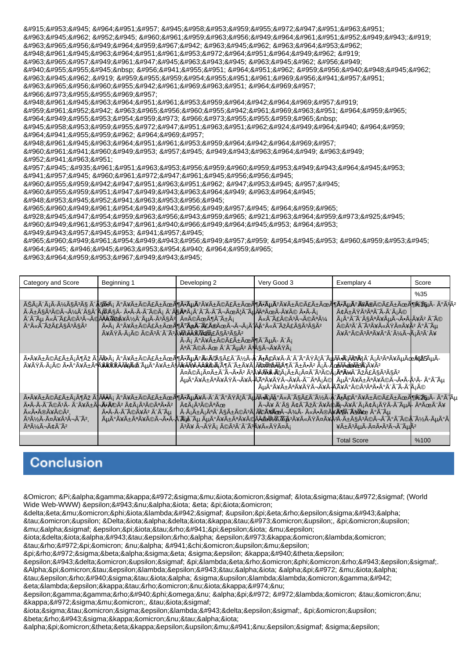Για την αξιολόγηση 84963;8#945;8#962;8#952;8#945;8#960;8#961;8#959;8#963;8#956;8#949;8#964;8#961;8#951;8#952;8#949;8#943;8#919; 8#963;8#965;8#956;8#949;8#964;8#959;8#967;8#942;8#963;8#945;8#962;8#963;8#964;8#953;8#962; 84948;8#961;8#945;8#963;8#964;8#951;8#961;8#953;8#972;8#964;8#951;8#964;8#949;8#962;8#919; 8#963;8#965;8#957;8#949;8#961;8#947;8#945;8#963;8#945;8#963;8#945;8#962;8#956;8#949;  $8#940;8#955;8#945;8nbsp$ ;  $8#956;8#941;8#955;8#951$ ;  $8#964;8#951;8#962$ ;  $8#959;8#956;8#940;8#940;8#945;8#962$ ; σας.Η ολοκληρωμένη &#963:&#965:&#956:&#960:&#955:&#942:&#961:&#969:&#963:&#951: &#964:&#969:&#957: φύλλων 8#948;8#961;8#945;8#963;8#964;8#951;8#961;8#953;8#959;8#964;8#942;8#964;8#969;8#957;8#919; 8#959;8#961;8#952;8#942;8#963;8#965;8#956;8#960;8#955;8#942;8#961;8#969;8#963;8#951;8#964;8#959;8#965; &#964:&#949:&#955:&#953:&#954:&#959:&#973: &#966:&#973:&#955:&#959:&#965:&nbsp:  $84945;84958;84953;84959;84955;84972;84947;84951;84963;84951;84962;84924;84949;84964;84940;84964;849564;84959;$ &#964:&#941:&#955:&#959:&#962: &#964:&#969:&#957: 8#948; 8#961; 8#945; 8#963; 8#964; 8#951; 8#961; 8#953; 8#959; 8#964; 8#964; 8#964; 8#969; 8#957; 8#960;8#961;8#941;8#960;8#949;8#953;8#957;8#945;8#949;8#903;8#963;8#964;8#949;8#963;8#949; θέση 8#957;8#945;:8#935;8#961;8#951;8#963;8#953;8#956;8#959;8#960;8#959;8#953;8#949;8#943;8#964;8#945;8#953; 8#941;8#957;8#945;8#960;8#961;8#972;8#947;8#961;8#945;8#956;8#956;8#945; 8#960;8#955;8#959;8#942;8#947;8#951;8#963;8#951;8#962;8#947;8#953;8#945;8#957;8#945; 8#960;8#955;8#959;8#951;8#947;8#949;8#943;8#963;8#964;8#949;8#963;8#964;8#945; 8#948;8#953;8#945;8#952;8#941;8#963;8#953;8#956;8#945; 8#965:8#960:8#949:8#961:8#954:8#949:8#943:8#956:8#949:8#957:8#945:8#964:8#959:8#965: 8#928;8#945;8#947;8#954;8#959;8#963;8#956;8#943;8#959;8#965; 8#921;8#963;8#964;8#959;8#973;8#925;8#945; 8#960;8#949;8#961;8#953;8#947;8#961;8#940;8#966;8#949;8#964;8#945;8#953;8#964;8#953;

είναι ένα

8#965;8#960;8#949;8#961;8#954;8#949;8#943;8#956;8#949;8#957;8#959; 8#954;8#945;8#953; 8#960;8#959;8#953;8#945; 8#964; α β α σ ι κ ά τ ο υ

8#963:8#964:8#959:8#953:8#967:8#949:8#943:8#945:

| Category and Score                                              | Beginning 1                                                                                                                                                                                                                                                                               | Developing 2                                                                                                                                 | Very Good 3                                                                            | Exemplary 4                                                                                                                                                                                                                                                                                        | Score |  |
|-----------------------------------------------------------------|-------------------------------------------------------------------------------------------------------------------------------------------------------------------------------------------------------------------------------------------------------------------------------------------|----------------------------------------------------------------------------------------------------------------------------------------------|----------------------------------------------------------------------------------------|----------------------------------------------------------------------------------------------------------------------------------------------------------------------------------------------------------------------------------------------------------------------------------------------------|-------|--|
|                                                                 |                                                                                                                                                                                                                                                                                           |                                                                                                                                              |                                                                                        |                                                                                                                                                                                                                                                                                                    | %35   |  |
| A°A«A-AžA£A§A3A§A2                                              | ÊáÃ′áÃ-üçêç Ã′ <del>Ă§Ã¥Ã</del> ¡ úåñéãñܶ <b>Ã*õ</b> ú¥ñéãñܶÃ*õú屩㱜¶Ã*õú <i>Ã</i> ¥Ã <del>®</del> éãñܶ <i>Ñ</i> *ÃyÃ- úÃ'ͤ<br>÷ñçêéìüôçà 'ÃÃçÃ- ÕÃ-Ã-èéá ô§ <b>Āª</b> Ã¡Ã´Ā¯Ã-ìÜæôĀÑ ĀæålĀ.<br>ôïõ ëïãéêìÃ@Ă <del>ÃÃ</del> Õ@¥Ã½Ã¨ÃµÃ-êçê  äéÜöïñá<br>åßÃ-áé éêôïê <b>Ą¥Ã®Ã®XäžÄ£</b> §êçê | Õá ðåñéãñÜöðÃ <b>⊭Ã</b> =ãÃ@Üììáà Ĵî ëïÞãçúë<br>Ă-Ă¡ Ă°Ă¥Ä±Ă©Ă£Ä±ÃœÃ¶Ã <sup>-</sup> õÃ- ôá<br>êÃ <sup>−</sup> éÃ-Ü ôÃ <sup>−</sup> õê êçìåßá | LëÃ-ãéêìéêü                                                                            | âñßêêÃ <sup>−</sup> Ã-ôáé<br>áðïèçêåõìÃ∙Ã∤åê ïé<br>éêôïêåëßäåê úïõ<br><del>å</del> ðéêêåðôüìáêôå                                                                                                                                                                                                   |       |  |
|                                                                 | ÕåñéãñáöÞ Ã îá ðåñéãñܶÕõúëĀ@Ŷ§Ã£Ã¯Ã¼Ã-ŴÕéåÃ-ôÃ־ðßæïÃŲÃëÃ۞Ã₹ôáêåõÃФ®&Ő5ŵÃ-<br><u>åßÃ-áé Ã•Ā°Ã¥Ã±ÃªĀ¥Ã¥ÂXÃÃ¥AĀ¥Ã«Õ¨ĀµĀ°Ã¥Ã±Ã¶Â¥ĂÃ¥ĀĂÄÂŴŌ¥ĀŢÃŢÃ™Ā¥Ā∫Ā۞ĀŸŔĀ¶Ā™Ā±Ã•Āº áÃ-ĀoÕÃ<del>Ã&amp;SÃ≚</del>?ĀʿĄ¥Ãº</u>                                                                                   |                                                                                                                                              | ¤©¡¤±¯¬Â∙º ª <mark>Ą¥À¥¥`#`</mark> @`A¡Â±Â¡Â¤Â¯ÂªÂ© <mark>Ą¡Ă®Ā</mark> %Ä¯ÂžÂ£ÂŞÂªÂŞÂº | õðåñêåßìåÃ- <mark>Ã</mark> ĂªÃ¥ÃŸÃ¬Ã¥Ã-Ã <sup>~</sup> êáé  õðåñêåéìÕÃ-úÃ-úÃ <sup>−</sup> úÃ<br>õðåñêåßìåÃ-ÃåðéêêÕðÃ′ïÃ-Ã'áé                                                                                                                                                                        |       |  |
| ëÕîåéê,<br>êýÃ-äåêìïê,<br>AªÄ¼Ä¬Ä¢Ä <sup>-</sup> Ä <sup>2</sup> | ÕåñéãñáöÞ Ã ÃÃÃá ðåñéãñܶÕõåÃ-ôÃ`ðßæÃ~ÃyÅðëèçãïýÃ- <b>Ă ʿĀŗÃ</b> ©Ãº åñéãñܶ <del>Ñ</del> ≈ŽţµÃ- úÆõ<br>ÕÃ-Ã-Ã-éêÃ- èåñÃ <b>∽Ã*î</b> ê âáêîêÕê<br>ÕÃ-Ã-Ã <sup>-</sup> éåê ôÃ <sup>-</sup> õ                                                                                                 | âáêéêÜ<br>êå ìßá éêôïêåëßäá                                                                                                                  | ÷áñáêôçñéêÃ∤Ã۞åÜìþÃ- ëÃ●îå <b>ö</b> Ã-þæe ðÃ-õ                                         | ้   ìå ôç âïÞèåÃФÃ <del>Ñ</del> ¬Ã¥Ã´Ã¡Ã¢Ã¡ÃŸÃ-Ã <sup>−</sup> õÃ- êÜèå<br>ӐµӐ°Ӑ¥Ӓ±ӐªӐ¥Ӑ©Ӑ¬Ӑ∙Ӑ-Ӑ҇Ѫ҉ӀѦ҇҃҄҄᠆Ӑµ <i>Ӑ</i> ӌӐ°Ӑ¥Ӑ±ӐªӐ¥Ӑ©Ӑ <del>ӐӐ҈ѼѬ҈</del> Ѭ҄҉Ѩ҄ӟӐ¥Ӑ«ӐŸӐ¤Ӑ¥Ӑ҉Ҹ҇҂҇ѦӬѦ҃ӭѼѺѦ҃¬Ӑ҃ <sup>∽</sup> Ӑ҃ӬѦ҃ӮѦ҇҅ӠӒ҂Ѧ҄µӐ°Ӑ<br>¥Â±Â <sup>3</sup> µÂ-¤Â∙Â <sup>3</sup> ¬Â <sup>−</sup> µÂ <sup>2</sup> |       |  |
|                                                                 |                                                                                                                                                                                                                                                                                           |                                                                                                                                              |                                                                                        | <b>Total Score</b>                                                                                                                                                                                                                                                                                 | %100  |  |

# Conclusion

Ο Πα&qamma;κόσμιος &lota;στός (World Wide Web-WWW) & epsilon: & #943: & nu: & alpha: & iota: & pi: & iota: & omicron:

δημοφιλής υπηρεσία

&tau:&omicron:υ &Delta:&iota:&alpha:&delta:&iota:&kappa:&tau:&#973:&omicron:υ, &pi:&omicron:υ

μας επιτρέπει με

ιδιαίτερα εύκολο

τρόπο να έχουμε

&pi:&rho:&#972:&sigma:&beta:&alpha:&sigma:&eta: &sigma:&epsilon: &kappa:&#940:&theta:&epsilon:

είδους πληροφορίες. Αποτελείται από μια

τεράστια συλλογή ηλεκτρονικών

εγγράφων από όλο τον κόσμο, τις

ιστοσελίδες, που βρίσκονται

αποθηκευμένες σε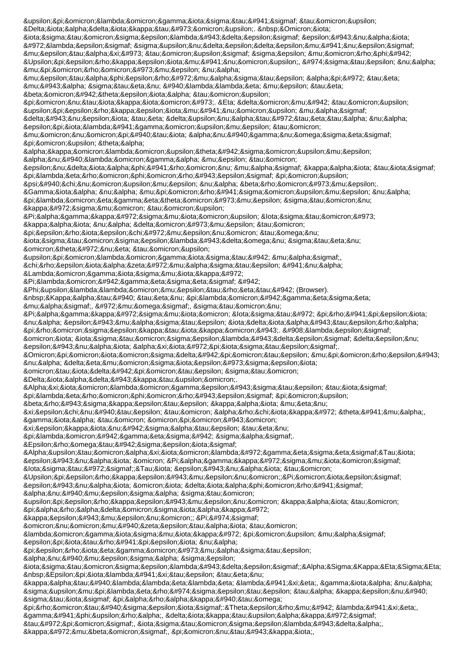υπολογιστές του Διαδικτύου. Οι ιστοσελίδες είναι όλες συνδεδεμένες μεταξύ τους σε μορφή Υπερκειμένου, ώστε να μπορούμε να μεταφερόμαστε από τη μία στην άλλη με τη βοήθεια του ποντικιού. Η δομή του υπερκειμένου μας δίνει τη δυνατότητα να επιλέγουμε το μονοπάτι ανάγνωσης &pi:&omicron:&upsilon: &theta:&alpha: ακολουθήσουμε ανάλογα με το ενδιαφέρον μας και τις πληροφορίες που ψάχνουμε να βρούμε. Για να μπορέσουμε να πλοηγηθούμε στον κόσμο του Παγκόσμιου &lota;στού και να δούμε το περιεχόμενο των ιστοσελίδων στην οθόνη του &upsilon:&pi:&omicron:&lambda:&omicron:&gamma:&iota:&sigma:&tau:ή &mu:&alpha:ς, χρειαζόμαστε ένα Λ ο γ ι σ μ ι κ ό Πλοήγησης ή Φυλλομετρητή (Browser). Κατά την πλοήγηση μ α ς, ό μ ω ς, σ τ ο ν &Pi:&alpha:&gamma:&kappa:&#972:&sigma:&mu:&jota:&omicron: &lota:&sigma:&tau:&#972: &pi:&rho:&#941:&pi:&epsilon:&jota: να είμαστε ιδιαίτερα προσεκτικοί. Όλες οι ιστοσελίδες δεν είναι αξιόπιστες. Οποιοσδήποτε μπορεί ν α δ η μ ο σ ι ε ύ σ ε ι οτιδήποτε στο Διαδίκτυο. Αξιολογείστε τις πληροφορίες που βρίσκετε και μην ξεχνάτε το αρχικό θέμα, για το οποίο ξεκινήσατε την πλοήγησή σας. Ερωτήσεις ΑυτοαξιολόγησηςΤι είναι ο Παγκόσμιος &lota;στός;Τι είναι το Υ&ppsilon;ρκείμενο;Ποιες &epsilon:ίναι οι διαφορές ανάμεσα στο υπερκείμενο και το παραδοσιακό κείμενο; Πώς ονομάζεται το λογισμικό που μας επιτρέπει να περιηγούμαστε ανάμεσα σε ιστοσελίδες;ΑΣΚΗΣΗ Επιλέξτε την κατάλληλη λέξη, για να συμπληρώσετε τα κενά στις παρακάτω προτάσεις:Θερμή λέξη, γέφυρα, δικτυακός τόπος, ιστοσελίδα,

κόμβος, ποντίκι,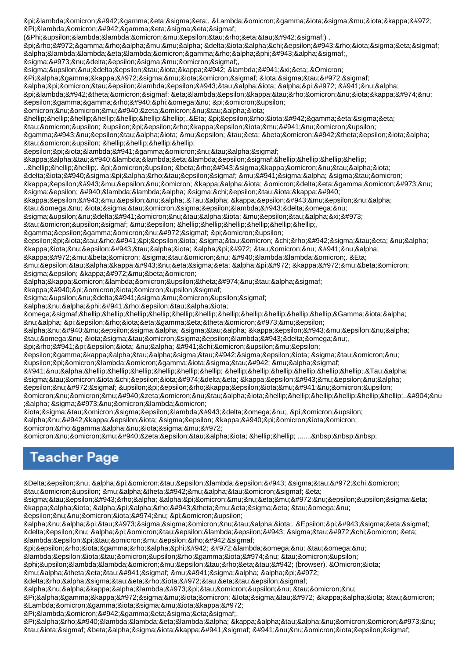πλοήγηση, Λογισμικό Πλοήγησης

(&Phi:&upsilon:&lambda:&lambda:&omicron:&mu:&epsilon:&tau:&rho:&eta:&tau:&#942:&sigmaf:),

πρόγραμμα διαχείρισης αλληλογραφίας,

σύνδεσμος,

συνδετική λέξ&eta:.&Omicron:

Παγκόσμιος &lota;στός

αποτελείται από ένα

πλήθος ηλεκτρονικών εγγράφων που

ονομάζονται

…………………..Η περιήγηση

του υπερκειμένου

γίνεται με τη βοήθεια &tau:&omicron:&upsilon: &hellip:&hellip:&hellip:&hellip:

επιλέγοντας

κατάλληλες…………

..&hellip:&hellip:&hellip:. &pi:&omicron:&upsilon: &beta:&rho:&#943:&sigma:&kappa:&omicron:&nu:&tau:&alpha:&iota:

διάσπαρτες μέσα στο

κείμενο και οδηγούν σ ε ά λ λ α σ χ ε τ ι κ ά

κείμενα.Τα κείμενα

των ιστοσελίδων

συνδέονται μεταξύ

τους με ……………, …,

γεγονός που

επιτρέπει στο χρήστη να κινείται από τον ένα

&kappa:&#972:&mu:&beta:&omicron: &sigma:&tau:&omicron:&nu: &#940:&lambda:&lambda:&omicron:, &Eta:

μετακίνηση από κόμβο σ ε κ ό μ β ο

ακολουθώντας

κάποιους

συνδέσμους

αναφέρεται

ως……………………………Για ν α π ε ρ ι η γ η θ ο ύ μ ε

ανάμεσα στα κείμενα

των ιστοσελίδων,

πρέπει να έχουμε

εγκαταστήσει στον

υπολογιστή μας

ένα…………………………………………………Τα

στοιχειώδη κείμενα

ενός υπερκειμένου

ονομάζονται………………..Έ&nu ;α σύνολο

ιστοσελίδων, που ανήκει σε κάποιο

οργανισμό

ονομάζεται …… .......

## **Teacher Page**

Δεν αποτελεί στόχο του μαθήματος η

στείρα απομνημόνευση και απαρίθμηση των

εννοιών που

αναπτύσσονται. Επίσης δεν αποτελεί στόχο η λεπτομερής

περιγραφή όλων των

λ ε ι τ ο υ ρ γ ι ώ ν τ ο υ

&phi:&upsilon:&lambda:&lambda:&omicron:&mu:&epsilon:&tau:&rho:&eta:&tau:ή (browser). &Omicron:&iota:

μαθητές μέσα από

δραστηριότητες

ανακαλύπτουν τον

&Pi:&alpha:&gamma:&kappa:ό&sigma:μ&iota:&omicron: &lota:&sigma:&tau:ό &kappa:&alpha:&iota: &tau:&omicron: Λ & omicron; & gamma; & iota; & sigma; & mu; & iota; & kappa; & #972;

Πλοήγησης.

Παράλληλα κατανοούν τις βασικές έννοιες